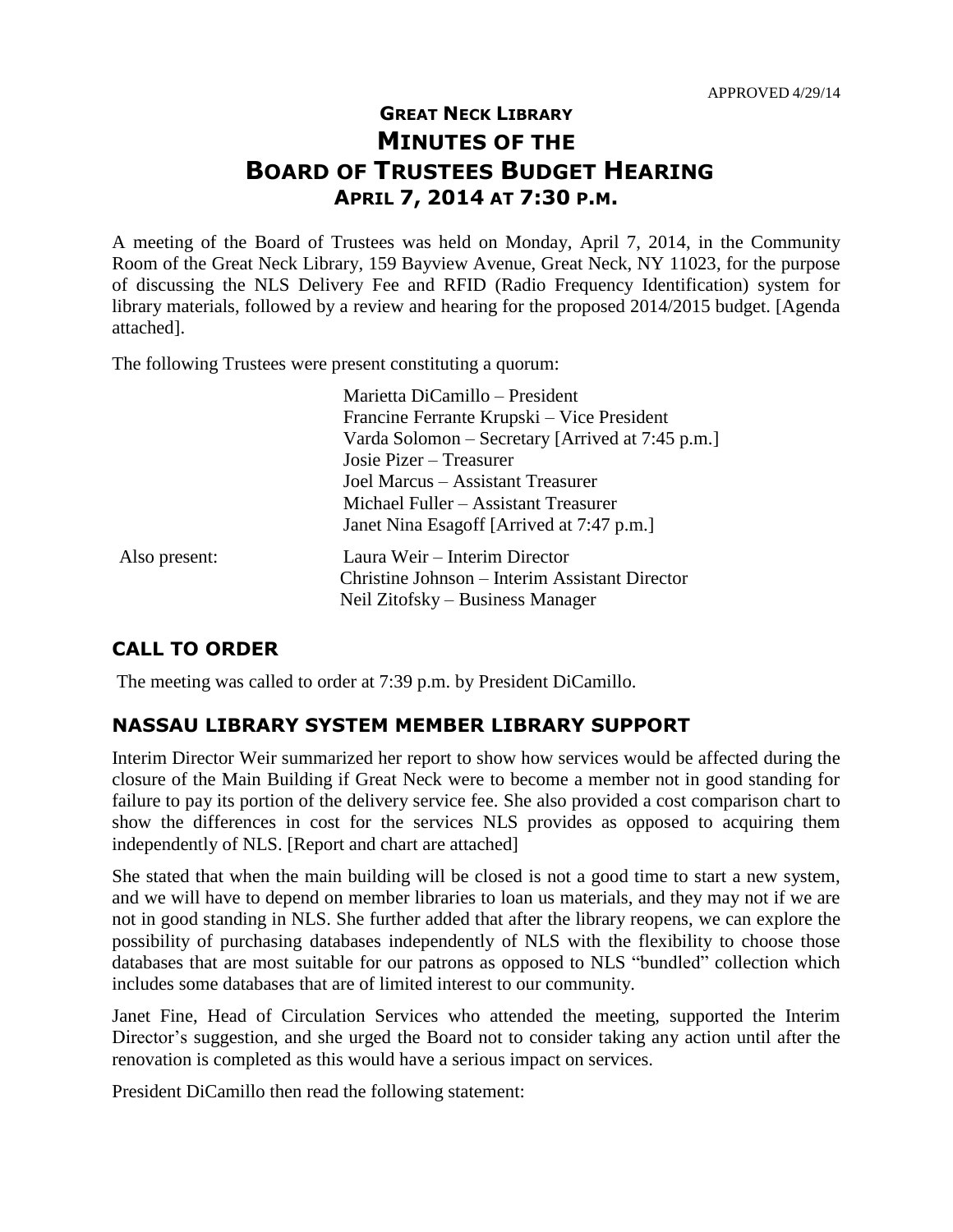# **GREAT NECK LIBRARY MINUTES OF THE BOARD OF TRUSTEES BUDGET HEARING APRIL 7, 2014 AT 7:30 P.M.**

A meeting of the Board of Trustees was held on Monday, April 7, 2014, in the Community Room of the Great Neck Library, 159 Bayview Avenue, Great Neck, NY 11023, for the purpose of discussing the NLS Delivery Fee and RFID (Radio Frequency Identification) system for library materials, followed by a review and hearing for the proposed 2014/2015 budget. [Agenda attached].

The following Trustees were present constituting a quorum:

|               | Marietta DiCamillo – President                   |
|---------------|--------------------------------------------------|
|               | Francine Ferrante Krupski – Vice President       |
|               | Varda Solomon – Secretary [Arrived at 7:45 p.m.] |
|               | Josie Pizer – Treasurer                          |
|               | Joel Marcus - Assistant Treasurer                |
|               | Michael Fuller - Assistant Treasurer             |
|               | Janet Nina Esagoff [Arrived at 7:47 p.m.]        |
| Also present: | Laura Weir - Interim Director                    |
|               | Christine Johnson – Interim Assistant Director   |
|               | Neil Zitofsky – Business Manager                 |

## **CALL TO ORDER**

The meeting was called to order at 7:39 p.m. by President DiCamillo.

#### **NASSAU LIBRARY SYSTEM MEMBER LIBRARY SUPPORT**

Interim Director Weir summarized her report to show how services would be affected during the closure of the Main Building if Great Neck were to become a member not in good standing for failure to pay its portion of the delivery service fee. She also provided a cost comparison chart to show the differences in cost for the services NLS provides as opposed to acquiring them independently of NLS. [Report and chart are attached]

She stated that when the main building will be closed is not a good time to start a new system, and we will have to depend on member libraries to loan us materials, and they may not if we are not in good standing in NLS. She further added that after the library reopens, we can explore the possibility of purchasing databases independently of NLS with the flexibility to choose those databases that are most suitable for our patrons as opposed to NLS "bundled" collection which includes some databases that are of limited interest to our community.

Janet Fine, Head of Circulation Services who attended the meeting, supported the Interim Director's suggestion, and she urged the Board not to consider taking any action until after the renovation is completed as this would have a serious impact on services.

President DiCamillo then read the following statement: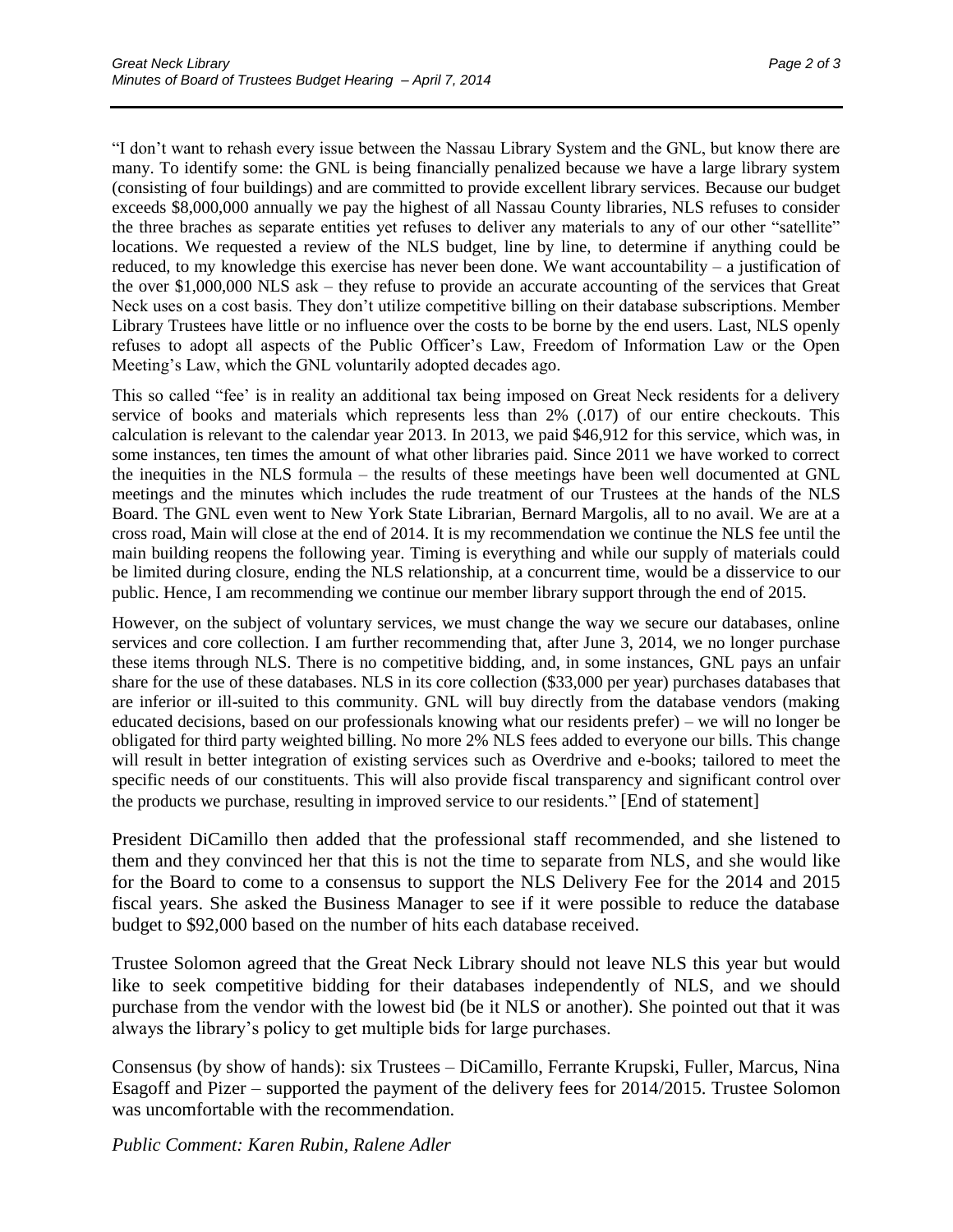"I don't want to rehash every issue between the Nassau Library System and the GNL, but know there are many. To identify some: the GNL is being financially penalized because we have a large library system (consisting of four buildings) and are committed to provide excellent library services. Because our budget exceeds \$8,000,000 annually we pay the highest of all Nassau County libraries, NLS refuses to consider the three braches as separate entities yet refuses to deliver any materials to any of our other "satellite" locations. We requested a review of the NLS budget, line by line, to determine if anything could be reduced, to my knowledge this exercise has never been done. We want accountability – a justification of the over \$1,000,000 NLS ask – they refuse to provide an accurate accounting of the services that Great Neck uses on a cost basis. They don't utilize competitive billing on their database subscriptions. Member Library Trustees have little or no influence over the costs to be borne by the end users. Last, NLS openly refuses to adopt all aspects of the Public Officer's Law, Freedom of Information Law or the Open Meeting's Law, which the GNL voluntarily adopted decades ago.

This so called "fee' is in reality an additional tax being imposed on Great Neck residents for a delivery service of books and materials which represents less than 2% (.017) of our entire checkouts. This calculation is relevant to the calendar year 2013. In 2013, we paid \$46,912 for this service, which was, in some instances, ten times the amount of what other libraries paid. Since 2011 we have worked to correct the inequities in the NLS formula – the results of these meetings have been well documented at GNL meetings and the minutes which includes the rude treatment of our Trustees at the hands of the NLS Board. The GNL even went to New York State Librarian, Bernard Margolis, all to no avail. We are at a cross road, Main will close at the end of 2014. It is my recommendation we continue the NLS fee until the main building reopens the following year. Timing is everything and while our supply of materials could be limited during closure, ending the NLS relationship, at a concurrent time, would be a disservice to our public. Hence, I am recommending we continue our member library support through the end of 2015.

However, on the subject of voluntary services, we must change the way we secure our databases, online services and core collection. I am further recommending that, after June 3, 2014, we no longer purchase these items through NLS. There is no competitive bidding, and, in some instances, GNL pays an unfair share for the use of these databases. NLS in its core collection (\$33,000 per year) purchases databases that are inferior or ill-suited to this community. GNL will buy directly from the database vendors (making educated decisions, based on our professionals knowing what our residents prefer) – we will no longer be obligated for third party weighted billing. No more 2% NLS fees added to everyone our bills. This change will result in better integration of existing services such as Overdrive and e-books; tailored to meet the specific needs of our constituents. This will also provide fiscal transparency and significant control over the products we purchase, resulting in improved service to our residents." [End of statement]

President DiCamillo then added that the professional staff recommended, and she listened to them and they convinced her that this is not the time to separate from NLS, and she would like for the Board to come to a consensus to support the NLS Delivery Fee for the 2014 and 2015 fiscal years. She asked the Business Manager to see if it were possible to reduce the database budget to \$92,000 based on the number of hits each database received.

Trustee Solomon agreed that the Great Neck Library should not leave NLS this year but would like to seek competitive bidding for their databases independently of NLS, and we should purchase from the vendor with the lowest bid (be it NLS or another). She pointed out that it was always the library's policy to get multiple bids for large purchases.

Consensus (by show of hands): six Trustees – DiCamillo, Ferrante Krupski, Fuller, Marcus, Nina Esagoff and Pizer – supported the payment of the delivery fees for 2014/2015. Trustee Solomon was uncomfortable with the recommendation.

*Public Comment: Karen Rubin, Ralene Adler*